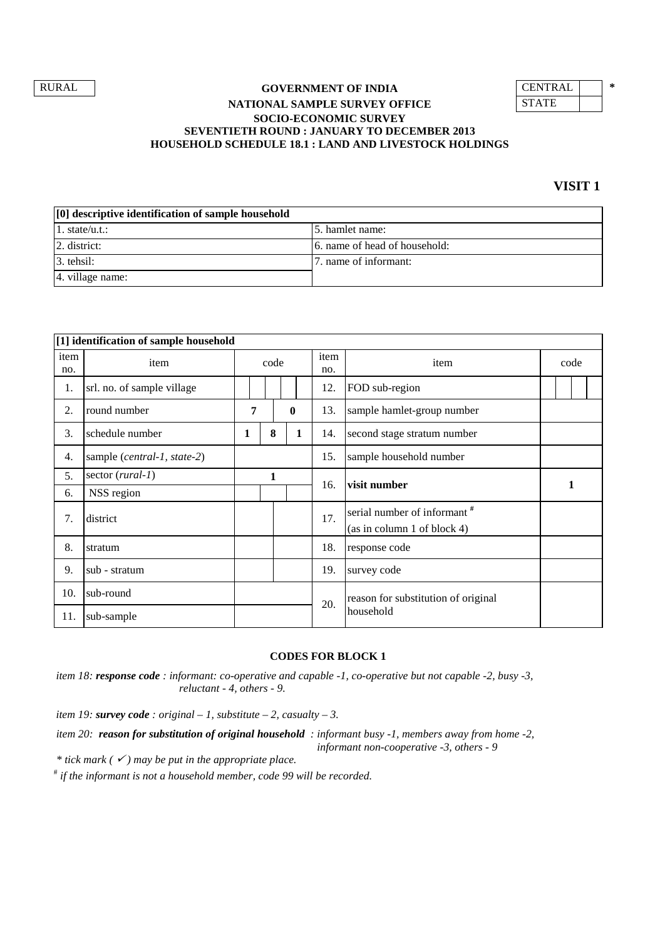## **EXECUTE AND RURAL GOVERNMENT OF INDIA CENTRAL \* NATIONAL SAMPLE SURVEY OFFICE** STATE **SOCIO-ECONOMIC SURVEY SEVENTIETH ROUND : JANUARY TO DECEMBER 2013 HOUSEHOLD SCHEDULE 18.1 : LAND AND LIVESTOCK HOLDINGS**

## **VISIT 1**

| [0] descriptive identification of sample household |                                |
|----------------------------------------------------|--------------------------------|
| 1. state/u.t.                                      | 15. hamlet name:               |
| 2. district:                                       | 16. name of head of household: |
| 3. tehsil:                                         | 7. name of informant:          |
| 4. village name:                                   |                                |

|             | [1] identification of sample household |   |               |  |             |                                                                        |                                     |      |   |  |  |
|-------------|----------------------------------------|---|---------------|--|-------------|------------------------------------------------------------------------|-------------------------------------|------|---|--|--|
| item<br>no. | item                                   |   | code          |  | item<br>no. | item                                                                   |                                     | code |   |  |  |
| 1.          | srl. no. of sample village             |   |               |  | 12.         | FOD sub-region                                                         |                                     |      |   |  |  |
| 2.          | round number                           |   | 7<br>$\bf{0}$ |  | 13.         | sample hamlet-group number                                             |                                     |      |   |  |  |
| 3.          | schedule number                        | 1 | 8<br>1        |  | 14.         | second stage stratum number                                            |                                     |      |   |  |  |
| 4.          | sample (central-1, state-2)            |   |               |  | 15.         | sample household number                                                |                                     |      |   |  |  |
| 5.          | sector (rural-1)                       |   | 1             |  |             |                                                                        |                                     |      |   |  |  |
| 6.          | NSS region                             |   |               |  |             | 16.                                                                    | visit number                        |      | 1 |  |  |
| 7.          | district                               |   |               |  | 17.         | serial number of informant <sup>#</sup><br>(as in column 1 of block 4) |                                     |      |   |  |  |
| 8.          | stratum                                |   |               |  |             | 18.                                                                    | response code                       |      |   |  |  |
| 9.          | sub - stratum                          |   |               |  | 19.         | survey code                                                            |                                     |      |   |  |  |
| 10.         | sub-round                              |   |               |  |             | 20.                                                                    | reason for substitution of original |      |   |  |  |
| 11.         | sub-sample                             |   |               |  |             |                                                                        | household                           |      |   |  |  |

### **CODES FOR BLOCK 1**

*item 18: response code : informant: co-operative and capable -1, co-operative but not capable -2, busy -3, reluctant - 4, others - 9.*

*item* 19: *survey code* : *original*  $-1$ *, substitute*  $-2$ *, casualty*  $-3$ *.* 

*item 20: reason for substitution of original household : informant busy -1, members away from home -2, informant non-cooperative -3, others - 9*

 $*$  *tick mark* ( $\checkmark$ ) *may be put in the appropriate place.* 

# *if the informant is not a household member, code 99 will be recorded.*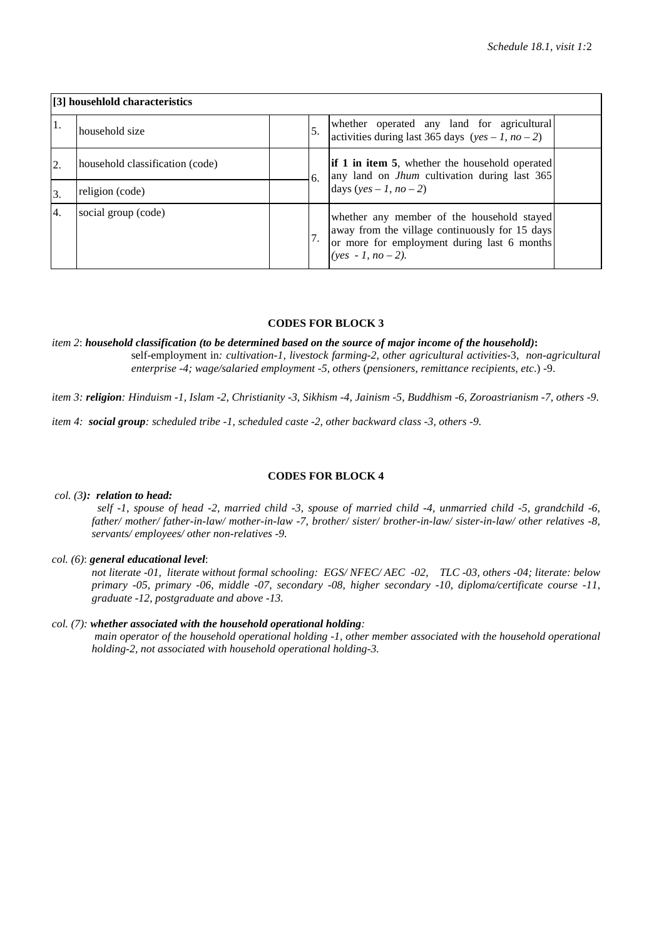| [3] househlold characteristics |                                 |  |    |                                                                                                                                                                     |  |  |  |  |  |  |
|--------------------------------|---------------------------------|--|----|---------------------------------------------------------------------------------------------------------------------------------------------------------------------|--|--|--|--|--|--|
| 1.                             | household size                  |  | 5. | whether operated any land for agricultural<br>activities during last 365 days (yes - 1, no - 2)                                                                     |  |  |  |  |  |  |
| 2.                             | household classification (code) |  |    | <b>if 1 in item 5</b> , whether the household operated<br>any land on <i>Jhum</i> cultivation during last 365                                                       |  |  |  |  |  |  |
| 3.                             | religion (code)                 |  |    | days (yes $-1$ , no $-2$ )                                                                                                                                          |  |  |  |  |  |  |
| 4.                             | social group (code)             |  |    | whether any member of the household stayed<br>away from the village continuously for 15 days<br>or more for employment during last 6 months<br>$(yes - 1, no - 2).$ |  |  |  |  |  |  |

#### **CODES FOR BLOCK 3**

*item 2*: *household classification (to be determined based on the source of major income of the household)***:**  self-employment in*: cultivation-1, livestock farming-2, other agricultural activities-*3, *non-agricultural enterprise -4; wage/salaried employment -5, others* (*pensioners, remittance recipients, etc*.) *-*9.

*item 3: religion: Hinduism -1, Islam -2, Christianity -3, Sikhism -4, Jainism -5, Buddhism -6, Zoroastrianism -7, others -9*.

*item 4: social group: scheduled tribe -1, scheduled caste -2, other backward class -3, others -9.*

### **CODES FOR BLOCK 4**

#### *col. (3): relation to head:*

 *self -1, spouse of head -2, married child -3, spouse of married child -4, unmarried child -5, grandchild -6, father/ mother/ father-in-law/ mother-in-law -7, brother/ sister/ brother-in-law/ sister-in-law/ other relatives -8, servants/ employees/ other non-relatives -9.*

#### *col. (6)*: *general educational level*:

*not literate -01, literate without formal schooling: EGS/ NFEC/ AEC -02, TLC -03, others -04; literate: below primary -05, primary -06, middle -07, secondary -08, higher secondary -10, diploma/certificate course -11, graduate -12, postgraduate and above -13.*

#### *col. (7): whether associated with the household operational holding:*

*main operator of the household operational holding -1, other member associated with the household operational holding-2, not associated with household operational holding-3.*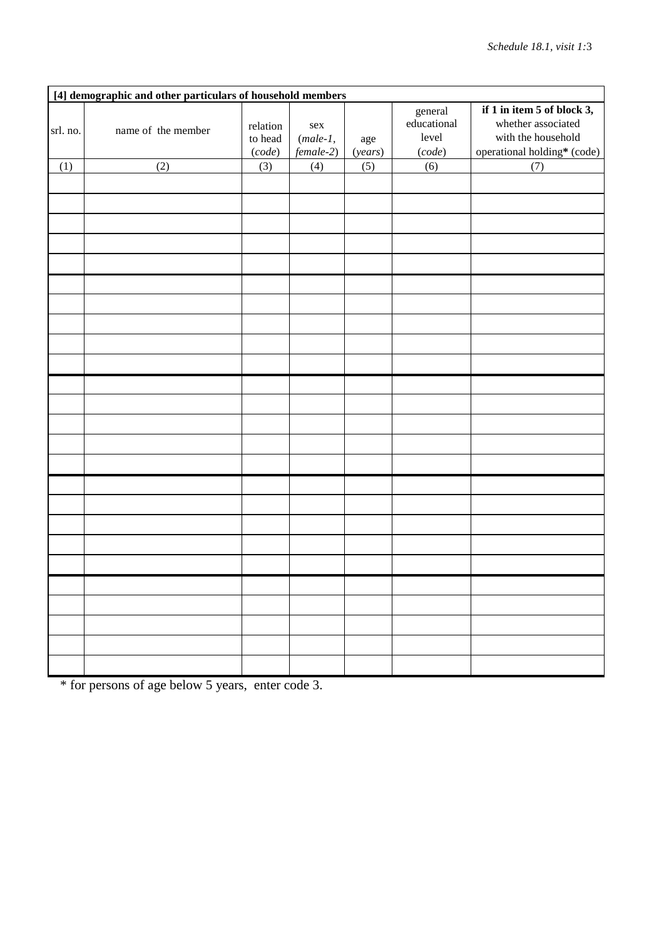| [4] demographic and other particulars of household members |                    |                               |                                |                      |                                           |                                                                                                       |  |  |  |  |  |  |
|------------------------------------------------------------|--------------------|-------------------------------|--------------------------------|----------------------|-------------------------------------------|-------------------------------------------------------------------------------------------------------|--|--|--|--|--|--|
| srl. no.                                                   | name of the member | relation<br>to head<br>(code) | sex<br>$(male-1,$<br>female-2) | $\rm age$<br>(years) | general<br>educational<br>level<br>(code) | if 1 in item 5 of block 3,<br>whether associated<br>with the household<br>operational holding* (code) |  |  |  |  |  |  |
| (1)                                                        | (2)                | (3)                           | (4)                            | (5)                  | (6)                                       | (7)                                                                                                   |  |  |  |  |  |  |
|                                                            |                    |                               |                                |                      |                                           |                                                                                                       |  |  |  |  |  |  |
|                                                            |                    |                               |                                |                      |                                           |                                                                                                       |  |  |  |  |  |  |
|                                                            |                    |                               |                                |                      |                                           |                                                                                                       |  |  |  |  |  |  |
|                                                            |                    |                               |                                |                      |                                           |                                                                                                       |  |  |  |  |  |  |
|                                                            |                    |                               |                                |                      |                                           |                                                                                                       |  |  |  |  |  |  |
|                                                            |                    |                               |                                |                      |                                           |                                                                                                       |  |  |  |  |  |  |
|                                                            |                    |                               |                                |                      |                                           |                                                                                                       |  |  |  |  |  |  |
|                                                            |                    |                               |                                |                      |                                           |                                                                                                       |  |  |  |  |  |  |
|                                                            |                    |                               |                                |                      |                                           |                                                                                                       |  |  |  |  |  |  |
|                                                            |                    |                               |                                |                      |                                           |                                                                                                       |  |  |  |  |  |  |
|                                                            |                    |                               |                                |                      |                                           |                                                                                                       |  |  |  |  |  |  |
|                                                            |                    |                               |                                |                      |                                           |                                                                                                       |  |  |  |  |  |  |
|                                                            |                    |                               |                                |                      |                                           |                                                                                                       |  |  |  |  |  |  |
|                                                            |                    |                               |                                |                      |                                           |                                                                                                       |  |  |  |  |  |  |
|                                                            |                    |                               |                                |                      |                                           |                                                                                                       |  |  |  |  |  |  |
|                                                            |                    |                               |                                |                      |                                           |                                                                                                       |  |  |  |  |  |  |
|                                                            |                    |                               |                                |                      |                                           |                                                                                                       |  |  |  |  |  |  |
|                                                            |                    |                               |                                |                      |                                           |                                                                                                       |  |  |  |  |  |  |
|                                                            |                    |                               |                                |                      |                                           |                                                                                                       |  |  |  |  |  |  |
|                                                            |                    |                               |                                |                      |                                           |                                                                                                       |  |  |  |  |  |  |
|                                                            |                    |                               |                                |                      |                                           |                                                                                                       |  |  |  |  |  |  |
|                                                            |                    |                               |                                |                      |                                           |                                                                                                       |  |  |  |  |  |  |
|                                                            |                    |                               |                                |                      |                                           |                                                                                                       |  |  |  |  |  |  |
|                                                            |                    |                               |                                |                      |                                           |                                                                                                       |  |  |  |  |  |  |
|                                                            |                    |                               |                                |                      |                                           |                                                                                                       |  |  |  |  |  |  |

\* for persons of age below 5 years, enter code 3.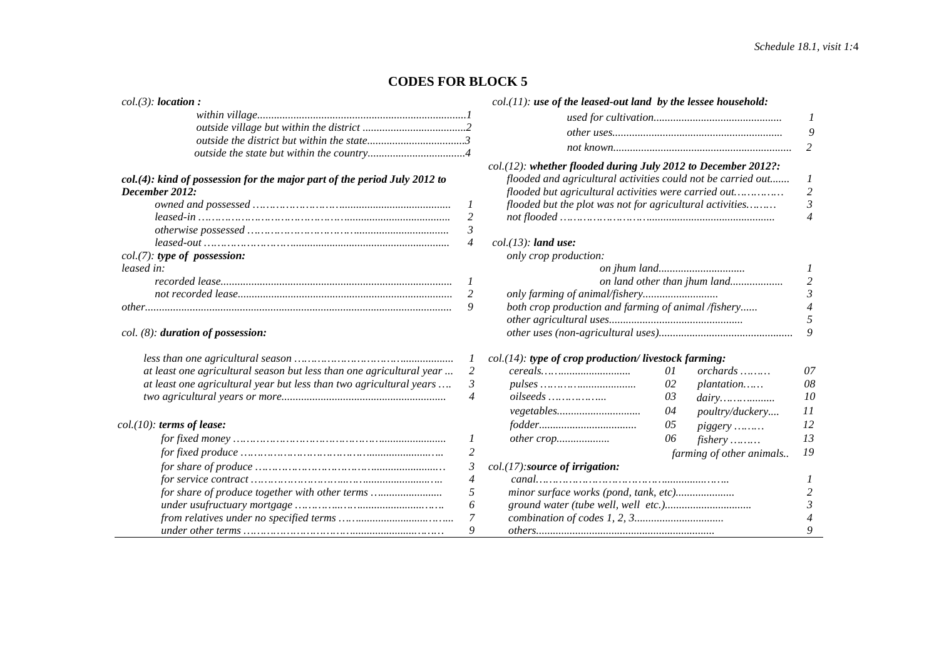## **CODES FOR BLOCK 5**

| $col. (3)$ : location :                                                   |                | $col.(11)$ : use of the leased-out land by the lessee household: |                |  |  |  |  |  |  |  |  |
|---------------------------------------------------------------------------|----------------|------------------------------------------------------------------|----------------|--|--|--|--|--|--|--|--|
|                                                                           |                |                                                                  | 1              |  |  |  |  |  |  |  |  |
|                                                                           |                |                                                                  |                |  |  |  |  |  |  |  |  |
|                                                                           |                |                                                                  | 9              |  |  |  |  |  |  |  |  |
|                                                                           |                |                                                                  | 2              |  |  |  |  |  |  |  |  |
|                                                                           |                | col.(12): whether flooded during July 2012 to December 2012?:    |                |  |  |  |  |  |  |  |  |
| col.(4): kind of possession for the major part of the period July 2012 to |                | flooded and agricultural activities could not be carried out     | 1              |  |  |  |  |  |  |  |  |
| December 2012:                                                            |                | flooded but agricultural activities were carried out             | 2              |  |  |  |  |  |  |  |  |
|                                                                           |                | flooded but the plot was not for agricultural activities         |                |  |  |  |  |  |  |  |  |
|                                                                           | $\overline{c}$ |                                                                  |                |  |  |  |  |  |  |  |  |
|                                                                           |                |                                                                  |                |  |  |  |  |  |  |  |  |
|                                                                           | $\overline{4}$ | $col.(13):$ land use:                                            |                |  |  |  |  |  |  |  |  |
| $col.$ (7): type of possession:                                           |                | only crop production:                                            |                |  |  |  |  |  |  |  |  |
| leased in:                                                                |                |                                                                  |                |  |  |  |  |  |  |  |  |
|                                                                           |                | on land other than jhum land                                     |                |  |  |  |  |  |  |  |  |
|                                                                           | $\overline{c}$ |                                                                  |                |  |  |  |  |  |  |  |  |
|                                                                           | 9              | both crop production and farming of animal /fishery              |                |  |  |  |  |  |  |  |  |
|                                                                           |                |                                                                  |                |  |  |  |  |  |  |  |  |
| col. (8): duration of possession:                                         |                |                                                                  | $\overline{Q}$ |  |  |  |  |  |  |  |  |
|                                                                           | $\mathcal{I}$  | $col. (14)$ : type of crop production/livestock farming:         |                |  |  |  |  |  |  |  |  |
| at least one agricultural season but less than one agricultural year      | 2              | orchards<br>01                                                   | 07             |  |  |  |  |  |  |  |  |
| at least one agricultural year but less than two agricultural years       | 3              | 02<br>plantation<br>$pulses \dots $                              | 08             |  |  |  |  |  |  |  |  |
|                                                                           | $\overline{4}$ | 03                                                               | 10             |  |  |  |  |  |  |  |  |
|                                                                           |                | 04<br>poultry/duckery                                            | 11             |  |  |  |  |  |  |  |  |
| $col.(10)$ : terms of lease:                                              |                | 05<br>$piggery \dots \dots$                                      | 12             |  |  |  |  |  |  |  |  |
|                                                                           |                | other crop<br>06<br>$fishery$                                    | 13             |  |  |  |  |  |  |  |  |
|                                                                           |                | farming of other animals                                         | 19             |  |  |  |  |  |  |  |  |
|                                                                           |                |                                                                  |                |  |  |  |  |  |  |  |  |
|                                                                           | $\overline{4}$ | $col. (17):$ source of irrigation:                               |                |  |  |  |  |  |  |  |  |
| for share of produce together with other terms                            | 5              | minor surface works (pond, tank, etc)                            | $\mathfrak{D}$ |  |  |  |  |  |  |  |  |
|                                                                           | 6              |                                                                  |                |  |  |  |  |  |  |  |  |
|                                                                           |                |                                                                  |                |  |  |  |  |  |  |  |  |
|                                                                           | 9              |                                                                  | 9              |  |  |  |  |  |  |  |  |
|                                                                           |                |                                                                  |                |  |  |  |  |  |  |  |  |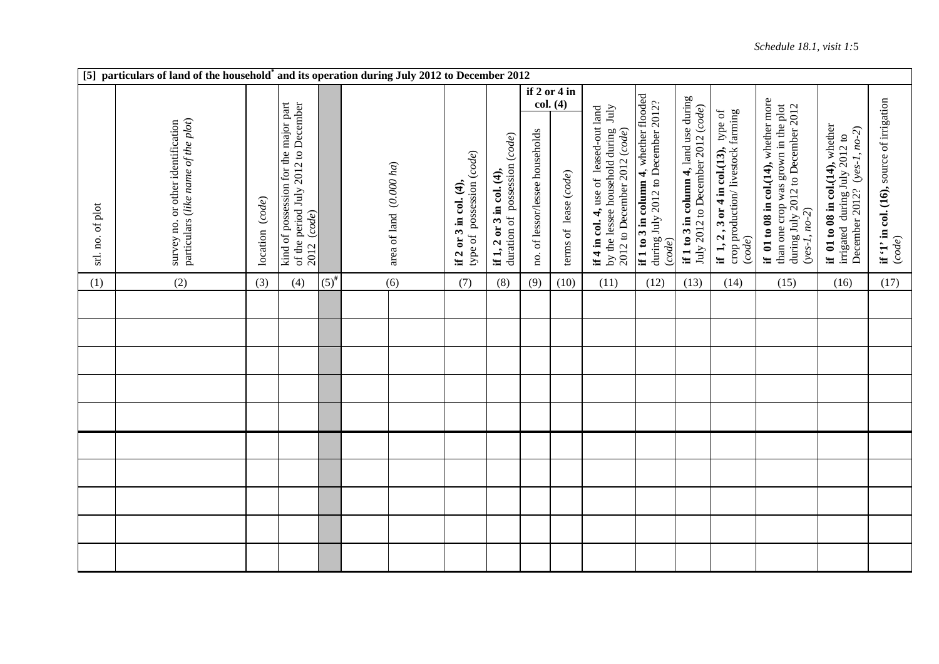| (17)<br>(9)<br>(11)<br>(12)<br>(10)<br>(13)<br>(14)<br>(15)<br>(16) |
|---------------------------------------------------------------------|
|                                                                     |
|                                                                     |
|                                                                     |
|                                                                     |
|                                                                     |
|                                                                     |
|                                                                     |
|                                                                     |
|                                                                     |
|                                                                     |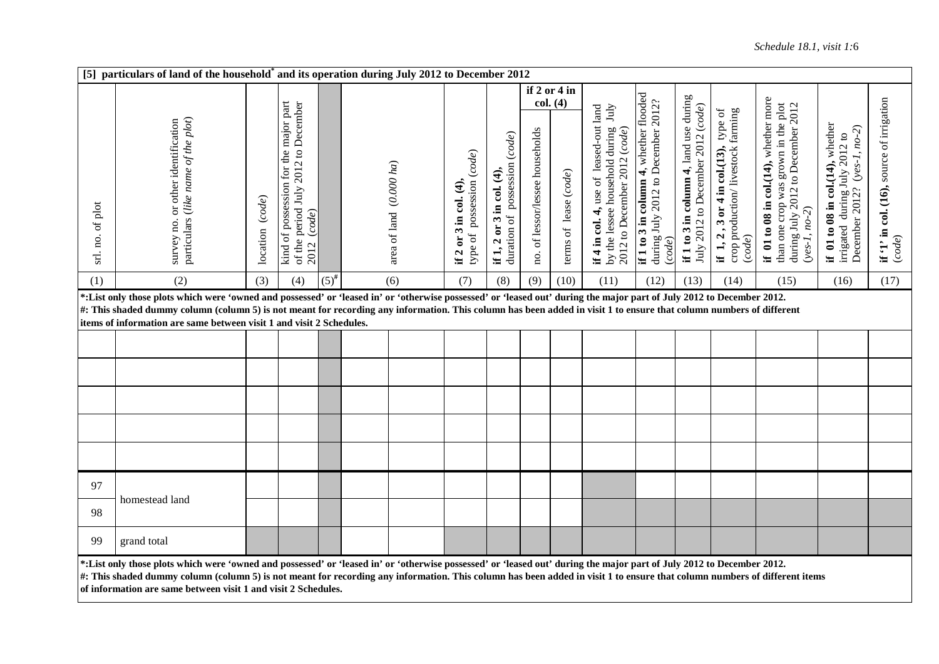|                  | [5] particulars of land of the household* and its operation during July 2012 to December 2012                                                                                                                                                                                                                                                                                                                        |                 |                                                                                                |                  |                         |                                                            |                                                               |                                 |                          |                                                                                                               |                                                                                        |                                                                             |                                                                                         |                                                                                                                                      |                                                                                                       |                                                     |
|------------------|----------------------------------------------------------------------------------------------------------------------------------------------------------------------------------------------------------------------------------------------------------------------------------------------------------------------------------------------------------------------------------------------------------------------|-----------------|------------------------------------------------------------------------------------------------|------------------|-------------------------|------------------------------------------------------------|---------------------------------------------------------------|---------------------------------|--------------------------|---------------------------------------------------------------------------------------------------------------|----------------------------------------------------------------------------------------|-----------------------------------------------------------------------------|-----------------------------------------------------------------------------------------|--------------------------------------------------------------------------------------------------------------------------------------|-------------------------------------------------------------------------------------------------------|-----------------------------------------------------|
|                  |                                                                                                                                                                                                                                                                                                                                                                                                                      |                 |                                                                                                |                  |                         |                                                            |                                                               |                                 | if 2 or 4 in<br>col. (4) |                                                                                                               |                                                                                        |                                                                             |                                                                                         |                                                                                                                                      |                                                                                                       |                                                     |
| srl. no. of plot | particulars (like name of the plot)<br>survey no. or other identification                                                                                                                                                                                                                                                                                                                                            | location (code) | kind of possession for the major part<br>of the period July 2012 to December<br>(code)<br>2012 |                  | area of land (0.000 ha) | type of possession (code)<br>if $2$ or $3$ in col. $(4)$ , | duration of possession (code)<br>if 1, 2 or 3 in col. $(4)$ , | no. of lessor/lessee households | terms of lease (code)    | by the lessee household during July<br>if 4 in col. 4, use of leased-out land<br>2012 to December 2012 (code) | if 1 to 3 in column 4, whether flooded<br>during July 2012 to December 2012?<br>(code) | if 1 to 3 in column 4, land use during<br>July 2012 to December 2012 (code) | crop production/ livestock farming<br>if $1, 2$ , 3 or 4 in col.(13), type of<br>(code) | if 01 to 08 in col.(14), whether more<br>than one crop was grown in the plot<br>during July 2012 to December 2012<br>$(yes-1, no-2)$ | if $01$ to $08$ in col.(14), whether<br>irrigated during July 2012 to<br>December 2012? (yes-1, no-2) | if '1' in col. (16), source of irrigation<br>(code) |
| (1)              | (2)                                                                                                                                                                                                                                                                                                                                                                                                                  | (3)             | (4)                                                                                            | (5) <sup>#</sup> | (6)                     | (7)                                                        | (8)                                                           | (9)                             | (10)                     | (11)                                                                                                          | (12)                                                                                   | (13)                                                                        | (14)                                                                                    | (15)                                                                                                                                 | (16)                                                                                                  | (17)                                                |
|                  | *:List only those plots which were 'owned and possessed' or 'leased in' or 'otherwise possessed' or 'leased out' during the major part of July 2012 to December 2012.<br>#: This shaded dummy column (column 5) is not meant for recording any information. This column has been added in visit 1 to ensure that column numbers of different<br>items of information are same between visit 1 and visit 2 Schedules. |                 |                                                                                                |                  |                         |                                                            |                                                               |                                 |                          |                                                                                                               |                                                                                        |                                                                             |                                                                                         |                                                                                                                                      |                                                                                                       |                                                     |
|                  |                                                                                                                                                                                                                                                                                                                                                                                                                      |                 |                                                                                                |                  |                         |                                                            |                                                               |                                 |                          |                                                                                                               |                                                                                        |                                                                             |                                                                                         |                                                                                                                                      |                                                                                                       |                                                     |
|                  |                                                                                                                                                                                                                                                                                                                                                                                                                      |                 |                                                                                                |                  |                         |                                                            |                                                               |                                 |                          |                                                                                                               |                                                                                        |                                                                             |                                                                                         |                                                                                                                                      |                                                                                                       |                                                     |
|                  |                                                                                                                                                                                                                                                                                                                                                                                                                      |                 |                                                                                                |                  |                         |                                                            |                                                               |                                 |                          |                                                                                                               |                                                                                        |                                                                             |                                                                                         |                                                                                                                                      |                                                                                                       |                                                     |
|                  |                                                                                                                                                                                                                                                                                                                                                                                                                      |                 |                                                                                                |                  |                         |                                                            |                                                               |                                 |                          |                                                                                                               |                                                                                        |                                                                             |                                                                                         |                                                                                                                                      |                                                                                                       |                                                     |
|                  |                                                                                                                                                                                                                                                                                                                                                                                                                      |                 |                                                                                                |                  |                         |                                                            |                                                               |                                 |                          |                                                                                                               |                                                                                        |                                                                             |                                                                                         |                                                                                                                                      |                                                                                                       |                                                     |
| 97               |                                                                                                                                                                                                                                                                                                                                                                                                                      |                 |                                                                                                |                  |                         |                                                            |                                                               |                                 |                          |                                                                                                               |                                                                                        |                                                                             |                                                                                         |                                                                                                                                      |                                                                                                       |                                                     |
| 98               | homestead land                                                                                                                                                                                                                                                                                                                                                                                                       |                 |                                                                                                |                  |                         |                                                            |                                                               |                                 |                          |                                                                                                               |                                                                                        |                                                                             |                                                                                         |                                                                                                                                      |                                                                                                       |                                                     |
| 99               | grand total                                                                                                                                                                                                                                                                                                                                                                                                          |                 |                                                                                                |                  |                         |                                                            |                                                               |                                 |                          |                                                                                                               |                                                                                        |                                                                             |                                                                                         |                                                                                                                                      |                                                                                                       |                                                     |
|                  | *:List only those plots which were 'owned and possessed' or 'leased in' or 'otherwise possessed' or 'leased out' during the major part of July 2012 to December 2012.<br>#: This shaded dummy column (column 5) is not meant for recording any information. This column has been added in visit 1 to ensure that column numbers of different items                                                                   |                 |                                                                                                |                  |                         |                                                            |                                                               |                                 |                          |                                                                                                               |                                                                                        |                                                                             |                                                                                         |                                                                                                                                      |                                                                                                       |                                                     |

**of information are same between visit 1 and visit 2 Schedules.**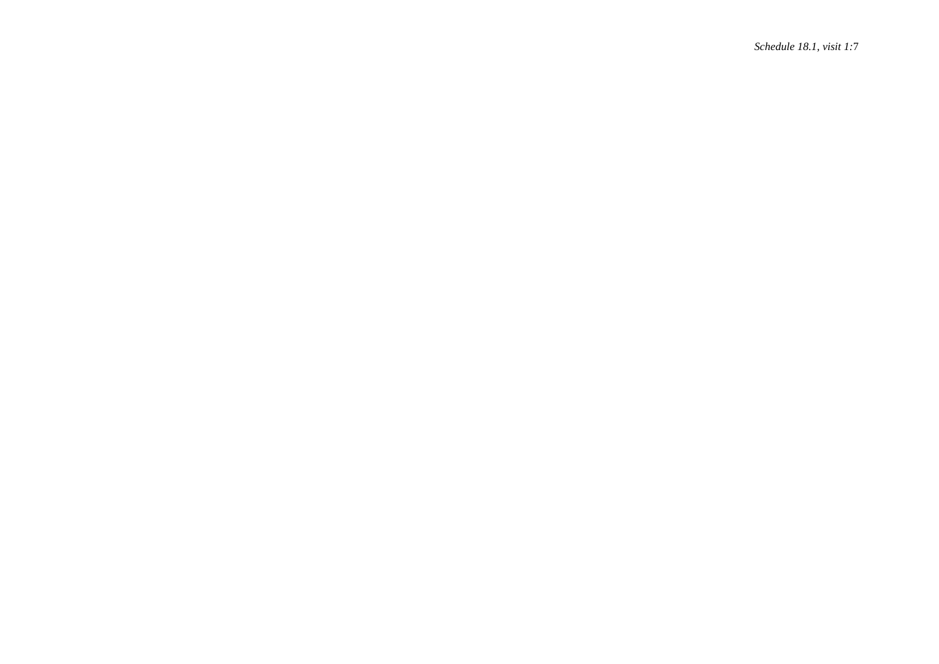*Schedule 18.1, visit 1:*7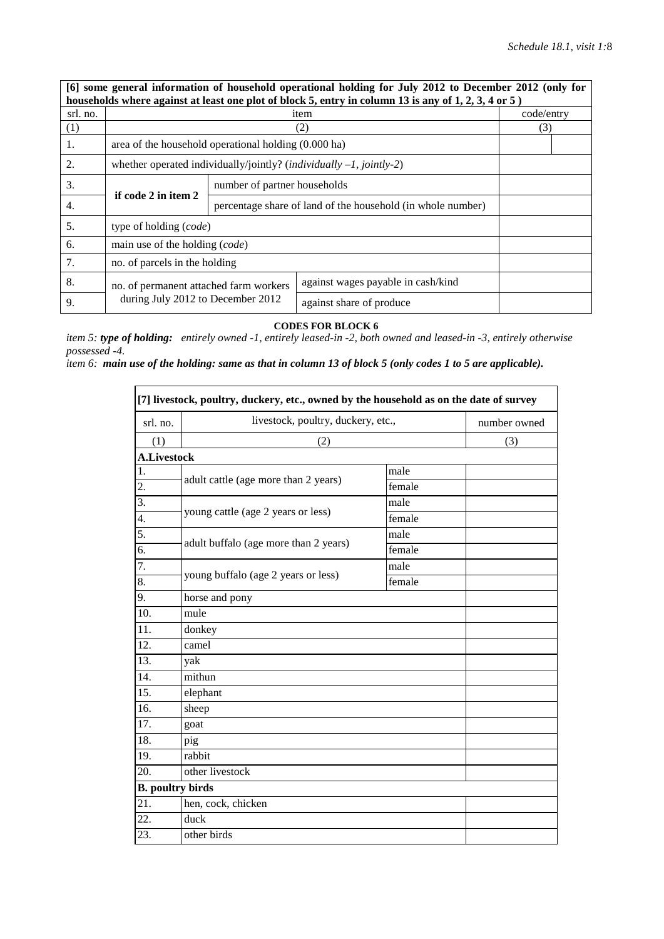| [6] some general information of household operational holding for July 2012 to December 2012 (only for |                                                                                                      |      |                                    |     |  |  |  |  |  |  |  |  |
|--------------------------------------------------------------------------------------------------------|------------------------------------------------------------------------------------------------------|------|------------------------------------|-----|--|--|--|--|--|--|--|--|
|                                                                                                        | households where against at least one plot of block 5, entry in column 13 is any of 1, 2, 3, 4 or 5) |      |                                    |     |  |  |  |  |  |  |  |  |
| srl. no.                                                                                               |                                                                                                      | item | code/entry                         |     |  |  |  |  |  |  |  |  |
| (1)                                                                                                    |                                                                                                      |      | (2)                                | (3) |  |  |  |  |  |  |  |  |
| 1.                                                                                                     | area of the household operational holding (0.000 ha)                                                 |      |                                    |     |  |  |  |  |  |  |  |  |
| 2.                                                                                                     | whether operated individually/jointly? ( <i>individually <math>-1</math>, jointly-2</i> )            |      |                                    |     |  |  |  |  |  |  |  |  |
| 3.                                                                                                     | if code 2 in item 2                                                                                  |      |                                    |     |  |  |  |  |  |  |  |  |
| 4.                                                                                                     |                                                                                                      |      |                                    |     |  |  |  |  |  |  |  |  |
| 5.                                                                                                     | type of holding (code)                                                                               |      |                                    |     |  |  |  |  |  |  |  |  |
| 6.                                                                                                     | main use of the holding (code)                                                                       |      |                                    |     |  |  |  |  |  |  |  |  |
| 7.                                                                                                     | no. of parcels in the holding                                                                        |      |                                    |     |  |  |  |  |  |  |  |  |
| 8.                                                                                                     | no. of permanent attached farm workers                                                               |      | against wages payable in cash/kind |     |  |  |  |  |  |  |  |  |
| 9.                                                                                                     | during July 2012 to December 2012                                                                    |      |                                    |     |  |  |  |  |  |  |  |  |

## **CODES FOR BLOCK 6**

*item 5: type of holding: entirely owned -1, entirely leased-in -2, both owned and leased-in -3, entirely otherwise possessed -4.*

*item 6: main use of the holding: same as that in column 13 of block 5 (only codes 1 to 5 are applicable).*

| srl. no.                | livestock, poultry, duckery, etc.,    | number owned |  |
|-------------------------|---------------------------------------|--------------|--|
| (1)                     | (2)                                   | (3)          |  |
| <b>A.Livestock</b>      |                                       |              |  |
| 1.                      |                                       | male         |  |
| 2.                      | adult cattle (age more than 2 years)  | female       |  |
| $\overline{3}$ .        |                                       | male         |  |
| 4.                      | young cattle (age 2 years or less)    | female       |  |
| 5.                      |                                       | male         |  |
| 6.                      | adult buffalo (age more than 2 years) | female       |  |
| 7.                      |                                       | male         |  |
| 8.                      | young buffalo (age 2 years or less)   | female       |  |
| 9.                      | horse and pony                        |              |  |
| 10.                     | mule                                  |              |  |
| 11.                     | donkey                                |              |  |
| 12.                     | camel                                 |              |  |
| 13.                     | yak                                   |              |  |
| 14.                     | mithun                                |              |  |
| 15.                     | elephant                              |              |  |
| 16.                     | sheep                                 |              |  |
| 17.                     | goat                                  |              |  |
| 18.                     | pig                                   |              |  |
| 19.                     | rabbit                                |              |  |
| 20.                     | other livestock                       |              |  |
| <b>B.</b> poultry birds |                                       |              |  |
| 21.                     | hen, cock, chicken                    |              |  |
| 22.                     | duck                                  |              |  |
| 23.                     | other birds                           |              |  |